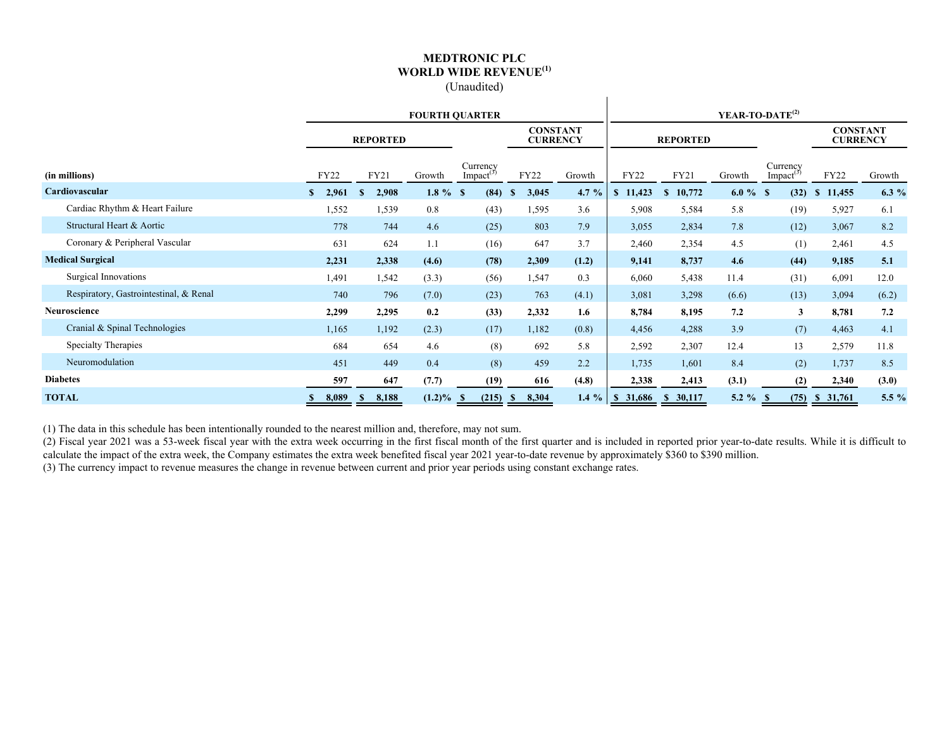#### **MEDTRONIC PLC WORLD WIDE REVENUE(1)** (Unaudited)

 $\mathbf{I}$ 

|                                        | <b>FOURTH QUARTER</b> |                 |           |                                   |                       |                                    | YEAR-TO-DATE <sup>(2)</sup> |                        |             |                                   |                                    |         |  |  |
|----------------------------------------|-----------------------|-----------------|-----------|-----------------------------------|-----------------------|------------------------------------|-----------------------------|------------------------|-------------|-----------------------------------|------------------------------------|---------|--|--|
|                                        |                       | <b>REPORTED</b> |           |                                   |                       | <b>CONSTANT</b><br><b>CURRENCY</b> |                             | <b>REPORTED</b>        |             |                                   | <b>CONSTANT</b><br><b>CURRENCY</b> |         |  |  |
| (in millions)                          | <b>FY22</b>           | FY21            | Growth    | Currency<br>Impact <sup>(3)</sup> | <b>FY22</b>           | Growth                             | <b>FY22</b>                 | FY21                   | Growth      | Currency<br>Impact <sup>(3)</sup> | FY22                               | Growth  |  |  |
| Cardiovascular                         | 2,961<br>S.           | 2,908<br>-S     | $1.8 \%$  | (84)<br>-S                        | 3,045<br><sup>S</sup> | 4.7 $%$                            | \$11,423                    | 10,772<br><sup>S</sup> | $6.0 \%$ \$ | (32)                              | 11,455<br>$\mathbb{S}$             | 6.3 $%$ |  |  |
| Cardiac Rhythm & Heart Failure         | 1,552                 | 1,539           | 0.8       | (43)                              | 1,595                 | 3.6                                | 5,908                       | 5,584                  | 5.8         | (19)                              | 5,927                              | 6.1     |  |  |
| Structural Heart & Aortic              | 778                   | 744             | 4.6       | (25)                              | 803                   | 7.9                                | 3,055                       | 2,834                  | 7.8         | (12)                              | 3,067                              | 8.2     |  |  |
| Coronary & Peripheral Vascular         | 631                   | 624             | 1.1       | (16)                              | 647                   | 3.7                                | 2,460                       | 2,354                  | 4.5         | (1)                               | 2,461                              | 4.5     |  |  |
| <b>Medical Surgical</b>                | 2,231                 | 2,338           | (4.6)     | (78)                              | 2,309                 | (1.2)                              | 9,141                       | 8,737                  | 4.6         | (44)                              | 9,185                              | 5.1     |  |  |
| Surgical Innovations                   | 1,491                 | 1,542           | (3.3)     | (56)                              | 1,547                 | 0.3                                | 6,060                       | 5,438                  | 11.4        | (31)                              | 6,091                              | 12.0    |  |  |
| Respiratory, Gastrointestinal, & Renal | 740                   | 796             | (7.0)     | (23)                              | 763                   | (4.1)                              | 3,081                       | 3,298                  | (6.6)       | (13)                              | 3,094                              | (6.2)   |  |  |
| Neuroscience                           | 2,299                 | 2,295           | 0.2       | (33)                              | 2,332                 | 1.6                                | 8,784                       | 8,195                  | 7.2         | $\mathbf{3}$                      | 8,781                              | 7.2     |  |  |
| Cranial & Spinal Technologies          | 1,165                 | 1,192           | (2.3)     | (17)                              | 1,182                 | (0.8)                              | 4,456                       | 4,288                  | 3.9         | (7)                               | 4,463                              | 4.1     |  |  |
| <b>Specialty Therapies</b>             | 684                   | 654             | 4.6       | (8)                               | 692                   | 5.8                                | 2,592                       | 2,307                  | 12.4        | 13                                | 2,579                              | 11.8    |  |  |
| Neuromodulation                        | 451                   | 449             | 0.4       | (8)                               | 459                   | 2.2                                | 1,735                       | 1,601                  | 8.4         | (2)                               | 1,737                              | 8.5     |  |  |
| <b>Diabetes</b>                        | 597                   | 647             | (7.7)     | (19)                              | 616                   | (4.8)                              | 2,338                       | 2,413                  | (3.1)       | (2)                               | 2,340                              | (3.0)   |  |  |
| <b>TOTAL</b>                           | 8,089                 | 8,188<br>Ъ.     | $(1.2)\%$ | (215)<br>- 86                     | 8,304<br>-SS          | $1.4 \%$                           | 31,686<br>S,                | \$30,117               | 5.2 $%$ \$  | (75)                              | \$31,761                           | 5.5 %   |  |  |

(1) The data in this schedule has been intentionally rounded to the nearest million and, therefore, may not sum.

(2) Fiscal year 2021 was a 53-week fiscal year with the extra week occurring in the first fiscal month of the first quarter and is included in reported prior year-to-date results. While it is difficult to calculate the impact of the extra week, the Company estimates the extra week benefited fiscal year 2021 year-to-date revenue by approximately \$360 to \$390 million.

(3) The currency impact to revenue measures the change in revenue between current and prior year periods using constant exchange rates.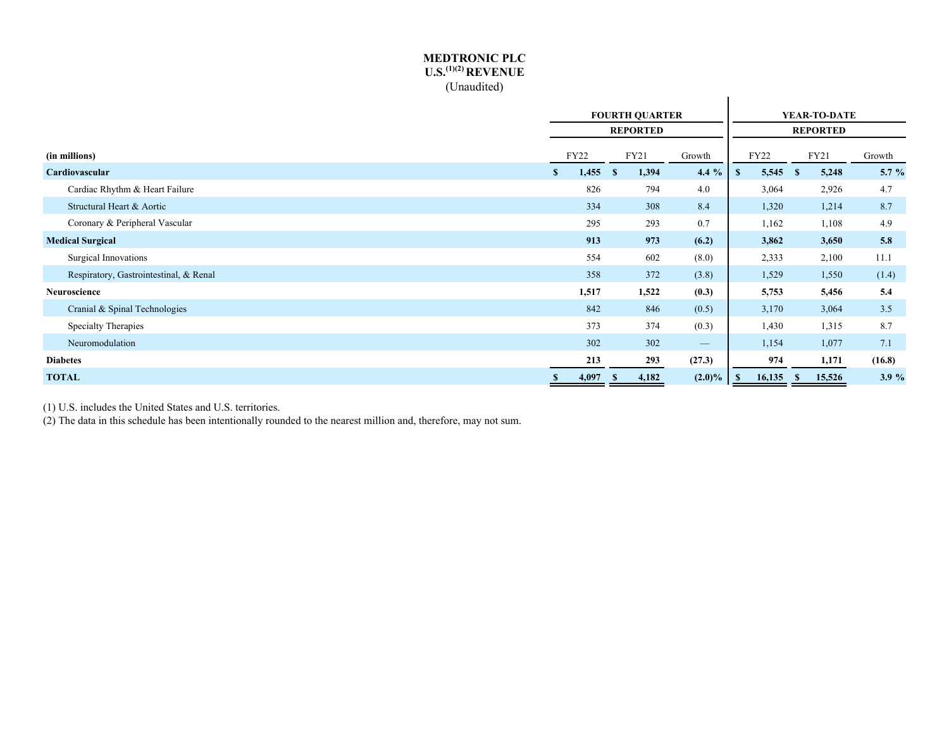#### **MEDTRONIC PLC U.S.(1)(2) REVENUE** (Unaudited)

|                                        | <b>FOURTH QUARTER</b> |             |      |                 |                                 |              |             | YEAR-TO-DATE |                 |        |
|----------------------------------------|-----------------------|-------------|------|-----------------|---------------------------------|--------------|-------------|--------------|-----------------|--------|
|                                        |                       |             |      | <b>REPORTED</b> |                                 |              |             |              | <b>REPORTED</b> |        |
| (in millions)                          |                       | <b>FY22</b> |      | FY21            | Growth                          |              | <b>FY22</b> |              | FY21            | Growth |
| Cardiovascular                         | $\mathbf{s}$          | 1,455       | - \$ | 1,394           | $4.4\%$                         | $\mathbf{s}$ | 5,545       | $\mathbf{s}$ | 5,248           | 5.7 %  |
| Cardiac Rhythm & Heart Failure         |                       | 826         |      | 794             | 4.0                             |              | 3,064       |              | 2,926           | 4.7    |
| Structural Heart & Aortic              |                       | 334         |      | 308             | 8.4                             |              | 1,320       |              | 1,214           | 8.7    |
| Coronary & Peripheral Vascular         |                       | 295         |      | 293             | 0.7                             |              | 1,162       |              | 1,108           | 4.9    |
| <b>Medical Surgical</b>                |                       | 913         |      | 973             | (6.2)                           |              | 3,862       |              | 3,650           | 5.8    |
| Surgical Innovations                   |                       | 554         |      | 602             | (8.0)                           |              | 2,333       |              | 2,100           | 11.1   |
| Respiratory, Gastrointestinal, & Renal |                       | 358         |      | 372             | (3.8)                           |              | 1,529       |              | 1,550           | (1.4)  |
| Neuroscience                           |                       | 1,517       |      | 1,522           | (0.3)                           |              | 5,753       |              | 5,456           | 5.4    |
| Cranial & Spinal Technologies          |                       | 842         |      | 846             | (0.5)                           |              | 3,170       |              | 3,064           | 3.5    |
| Specialty Therapies                    |                       | 373         |      | 374             | (0.3)                           |              | 1,430       |              | 1,315           | 8.7    |
| Neuromodulation                        |                       | 302         |      | 302             | $\hspace{0.1mm}-\hspace{0.1mm}$ |              | 1,154       |              | 1,077           | 7.1    |
| <b>Diabetes</b>                        |                       | 213         |      | 293             | (27.3)                          |              | 974         |              | 1,171           | (16.8) |
| <b>TOTAL</b>                           | S                     | 4,097       | - \$ | 4,182           | $(2.0)\%$                       | - \$         | 16,135      | -S           | 15,526          | 3.9%   |

(1) U.S. includes the United States and U.S. territories.

(2) The data in this schedule has been intentionally rounded to the nearest million and, therefore, may not sum.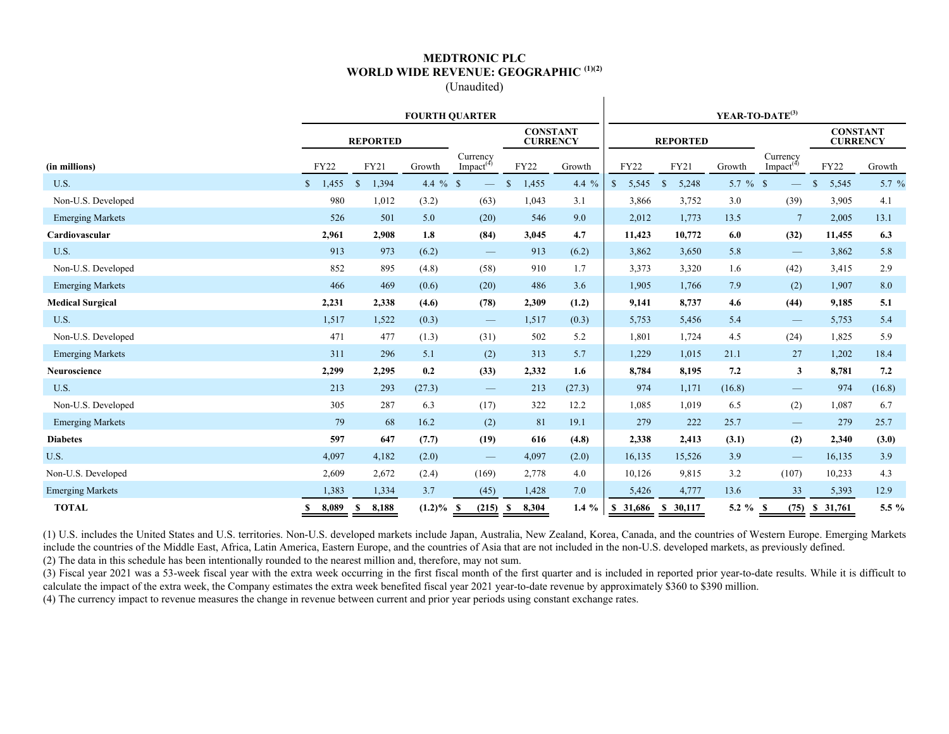#### **MEDTRONIC PLC WORLD WIDE REVENUE: GEOGRAPHIC (1)(2)** (Unaudited)

 $\mathbf{I}$ 

|                         |             |                       |            | <b>FOURTH OUARTER</b>             |                                    |         | YEAR-TO-DATE <sup>(3)</sup> |                        |            |                                   |                                    |         |  |  |  |
|-------------------------|-------------|-----------------------|------------|-----------------------------------|------------------------------------|---------|-----------------------------|------------------------|------------|-----------------------------------|------------------------------------|---------|--|--|--|
|                         |             | <b>REPORTED</b>       |            |                                   | <b>CONSTANT</b><br><b>CURRENCY</b> |         |                             | <b>REPORTED</b>        |            |                                   | <b>CONSTANT</b><br><b>CURRENCY</b> |         |  |  |  |
| (in millions)           | <b>FY22</b> | FY21                  | Growth     | Currency<br>Impact <sup>(4)</sup> | <b>FY22</b>                        | Growth  | FY22                        | FY21                   | Growth     | Currency<br>Impact <sup>(4)</sup> | <b>FY22</b>                        | Growth  |  |  |  |
| U.S.                    | \$1,455     | 1,394<br>$\mathbf{s}$ | 4.4 $%$ \$ |                                   | 1,455                              | 4.4 $%$ | 5,545<br>$\mathbb{S}$       | 5,248<br><sup>\$</sup> | 5.7 $%$ \$ |                                   | 5,545<br><sup>S</sup>              | 5.7 $%$ |  |  |  |
| Non-U.S. Developed      | 980         | 1,012                 | (3.2)      | (63)                              | 1,043                              | 3.1     | 3,866                       | 3,752                  | 3.0        | (39)                              | 3,905                              | 4.1     |  |  |  |
| <b>Emerging Markets</b> | 526         | 501                   | 5.0        | (20)                              | 546                                | 9.0     | 2,012                       | 1,773                  | 13.5       | $7\phantom{.0}$                   | 2,005                              | 13.1    |  |  |  |
| Cardiovascular          | 2,961       | 2,908                 | 1.8        | (84)                              | 3,045                              | 4.7     | 11,423                      | 10,772                 | 6.0        | (32)                              | 11,455                             | 6.3     |  |  |  |
| U.S.                    | 913         | 973                   | (6.2)      | $\hspace{0.1mm}-\hspace{0.1mm}$   | 913                                | (6.2)   | 3,862                       | 3,650                  | 5.8        |                                   | 3,862                              | 5.8     |  |  |  |
| Non-U.S. Developed      | 852         | 895                   | (4.8)      | (58)                              | 910                                | 1.7     | 3,373                       | 3,320                  | 1.6        | (42)                              | 3,415                              | 2.9     |  |  |  |
| <b>Emerging Markets</b> | 466         | 469                   | (0.6)      | (20)                              | 486                                | 3.6     | 1,905                       | 1,766                  | 7.9        | (2)                               | 1,907                              | 8.0     |  |  |  |
| <b>Medical Surgical</b> | 2,231       | 2,338                 | (4.6)      | (78)                              | 2,309                              | (1.2)   | 9,141                       | 8,737                  | 4.6        | (44)                              | 9,185                              | 5.1     |  |  |  |
| U.S.                    | 1,517       | 1,522                 | (0.3)      | $\hspace{0.1mm}-\hspace{0.1mm}$   | 1,517                              | (0.3)   | 5,753                       | 5,456                  | 5.4        | $\hspace{0.1mm}-\hspace{0.1mm}$   | 5,753                              | 5.4     |  |  |  |
| Non-U.S. Developed      | 471         | 477                   | (1.3)      | (31)                              | 502                                | 5.2     | 1,801                       | 1,724                  | 4.5        | (24)                              | 1,825                              | 5.9     |  |  |  |
| <b>Emerging Markets</b> | 311         | 296                   | 5.1        | (2)                               | 313                                | 5.7     | 1,229                       | 1,015                  | 21.1       | 27                                | 1,202                              | 18.4    |  |  |  |
| <b>Neuroscience</b>     | 2,299       | 2,295                 | 0.2        | (33)                              | 2,332                              | 1.6     | 8,784                       | 8,195                  | 7.2        | $\mathbf{3}$                      | 8,781                              | 7.2     |  |  |  |
| U.S.                    | 213         | 293                   | (27.3)     | $\hspace{0.1mm}-\hspace{0.1mm}$   | 213                                | (27.3)  | 974                         | 1,171                  | (16.8)     | $\hspace{0.05cm}$                 | 974                                | (16.8)  |  |  |  |
| Non-U.S. Developed      | 305         | 287                   | 6.3        | (17)                              | 322                                | 12.2    | 1,085                       | 1,019                  | 6.5        | (2)                               | 1,087                              | 6.7     |  |  |  |
| <b>Emerging Markets</b> | 79          | 68                    | 16.2       | (2)                               | 81                                 | 19.1    | 279                         | 222                    | 25.7       |                                   | 279                                | 25.7    |  |  |  |
| <b>Diabetes</b>         | 597         | 647                   | (7.7)      | (19)                              | 616                                | (4.8)   | 2,338                       | 2,413                  | (3.1)      | (2)                               | 2,340                              | (3.0)   |  |  |  |
| U.S.                    | 4,097       | 4,182                 | (2.0)      | $\qquad \qquad -$                 | 4,097                              | (2.0)   | 16,135                      | 15,526                 | 3.9        |                                   | 16,135                             | 3.9     |  |  |  |
| Non-U.S. Developed      | 2,609       | 2,672                 | (2.4)      | (169)                             | 2,778                              | 4.0     | 10,126                      | 9,815                  | 3.2        | (107)                             | 10,233                             | 4.3     |  |  |  |
| <b>Emerging Markets</b> | 1,383       | 1,334                 | 3.7        | (45)                              | 1,428                              | 7.0     | 5,426                       | 4,777                  | 13.6       | 33                                | 5,393                              | 12.9    |  |  |  |
| <b>TOTAL</b>            | 8,089       | 8,188<br>S            | $(1.2)\%$  | (215)<br>- \$                     | 8,304<br>S                         | 1.4 $%$ | \$31,686                    | \$30,117               | 5.2 $%$    | (75)<br>-S                        | \$31,761                           | 5.5 %   |  |  |  |

(1) U.S. includes the United States and U.S. territories. Non-U.S. developed markets include Japan, Australia, New Zealand, Korea, Canada, and the countries of Western Europe. Emerging Markets include the countries of the Middle East, Africa, Latin America, Eastern Europe, and the countries of Asia that are not included in the non-U.S. developed markets, as previously defined. (2) The data in this schedule has been intentionally rounded to the nearest million and, therefore, may not sum.

(3) Fiscal year 2021 was a 53-week fiscal year with the extra week occurring in the first fiscal month of the first quarter and is included in reported prior year-to-date results. While it is difficult to calculate the impact of the extra week, the Company estimates the extra week benefited fiscal year 2021 year-to-date revenue by approximately \$360 to \$390 million.

(4) The currency impact to revenue measures the change in revenue between current and prior year periods using constant exchange rates.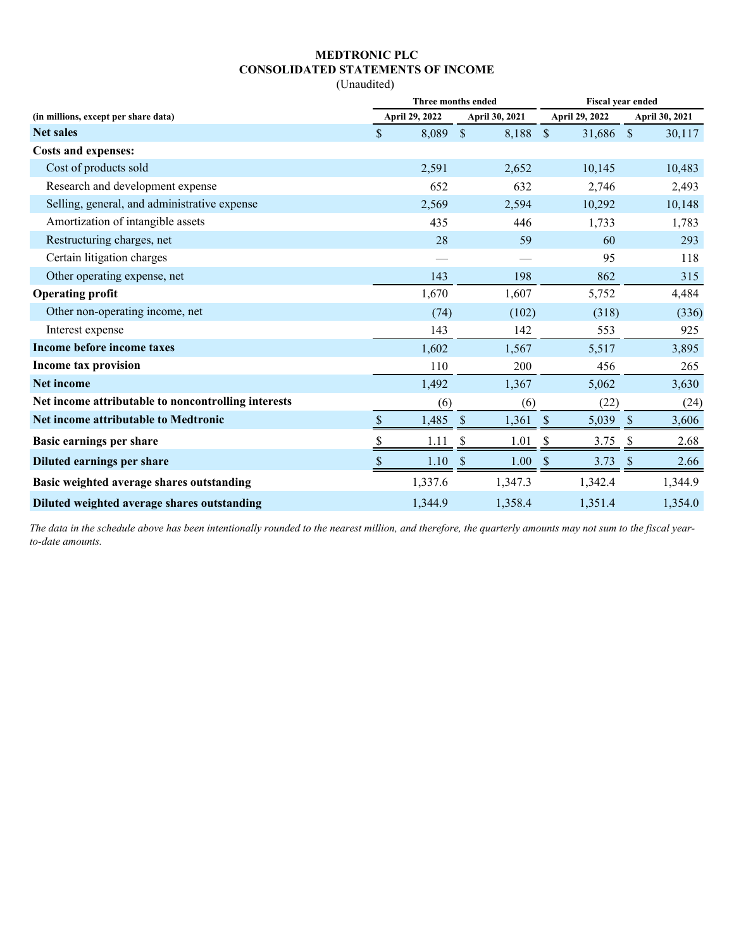## **MEDTRONIC PLC CONSOLIDATED STATEMENTS OF INCOME**

(Unaudited)

|                                                     | Three months ended        |                       |                           |                |               | <b>Fiscal year ended</b> |               |                |  |  |
|-----------------------------------------------------|---------------------------|-----------------------|---------------------------|----------------|---------------|--------------------------|---------------|----------------|--|--|
| (in millions, except per share data)                |                           | <b>April 29, 2022</b> |                           | April 30, 2021 |               | April 29, 2022           |               | April 30, 2021 |  |  |
| <b>Net sales</b>                                    | $\mathsf{\$}$             | 8,089                 | $\mathbb{S}$              | 8,188          | $\mathcal{S}$ | 31,686 \$                |               | 30,117         |  |  |
| <b>Costs and expenses:</b>                          |                           |                       |                           |                |               |                          |               |                |  |  |
| Cost of products sold                               |                           | 2,591                 |                           | 2,652          |               | 10,145                   |               | 10,483         |  |  |
| Research and development expense                    |                           | 652                   |                           | 632            |               | 2,746                    |               | 2,493          |  |  |
| Selling, general, and administrative expense        |                           | 2,569                 |                           | 2,594          |               | 10,292                   |               | 10,148         |  |  |
| Amortization of intangible assets                   |                           | 435                   |                           | 446            |               | 1,733                    |               | 1,783          |  |  |
| Restructuring charges, net                          |                           | 28                    |                           | 59             |               | 60                       |               | 293            |  |  |
| Certain litigation charges                          |                           |                       |                           |                |               | 95                       |               | 118            |  |  |
| Other operating expense, net                        |                           | 143                   |                           | 198            |               | 862                      |               | 315            |  |  |
| <b>Operating profit</b>                             |                           | 1,670                 |                           | 1,607          |               | 5,752                    |               | 4,484          |  |  |
| Other non-operating income, net                     |                           | (74)                  |                           | (102)          |               | (318)                    |               | (336)          |  |  |
| Interest expense                                    |                           | 143                   |                           | 142            |               | 553                      |               | 925            |  |  |
| Income before income taxes                          |                           | 1,602                 |                           | 1,567          |               | 5,517                    |               | 3,895          |  |  |
| Income tax provision                                |                           | 110                   |                           | 200            |               | 456                      |               | 265            |  |  |
| <b>Net income</b>                                   |                           | 1,492                 |                           | 1,367          |               | 5,062                    |               | 3,630          |  |  |
| Net income attributable to noncontrolling interests |                           | (6)                   |                           | (6)            |               | (22)                     |               | (24)           |  |  |
| <b>Net income attributable to Medtronic</b>         | $\boldsymbol{\mathsf{S}}$ | 1,485                 | $\boldsymbol{\mathsf{S}}$ | 1,361          | $\sqrt{\ }$   | 5,039                    | $\mathcal{S}$ | 3,606          |  |  |
| <b>Basic earnings per share</b>                     |                           | 1.11                  |                           | 1.01           | S             | 3.75                     |               | 2.68           |  |  |
| Diluted earnings per share                          |                           | 1.10                  | $\mathcal{S}$             | 1.00           | <sup>\$</sup> | 3.73                     | $\mathcal{S}$ | 2.66           |  |  |
| Basic weighted average shares outstanding           |                           | 1,337.6               |                           | 1,347.3        |               | 1,342.4                  |               | 1,344.9        |  |  |
| Diluted weighted average shares outstanding         |                           | 1,344.9               |                           | 1,358.4        |               | 1,351.4                  |               | 1,354.0        |  |  |

*The data in the schedule above has been intentionally rounded to the nearest million, and therefore, the quarterly amounts may not sum to the fiscal yearto-date amounts.*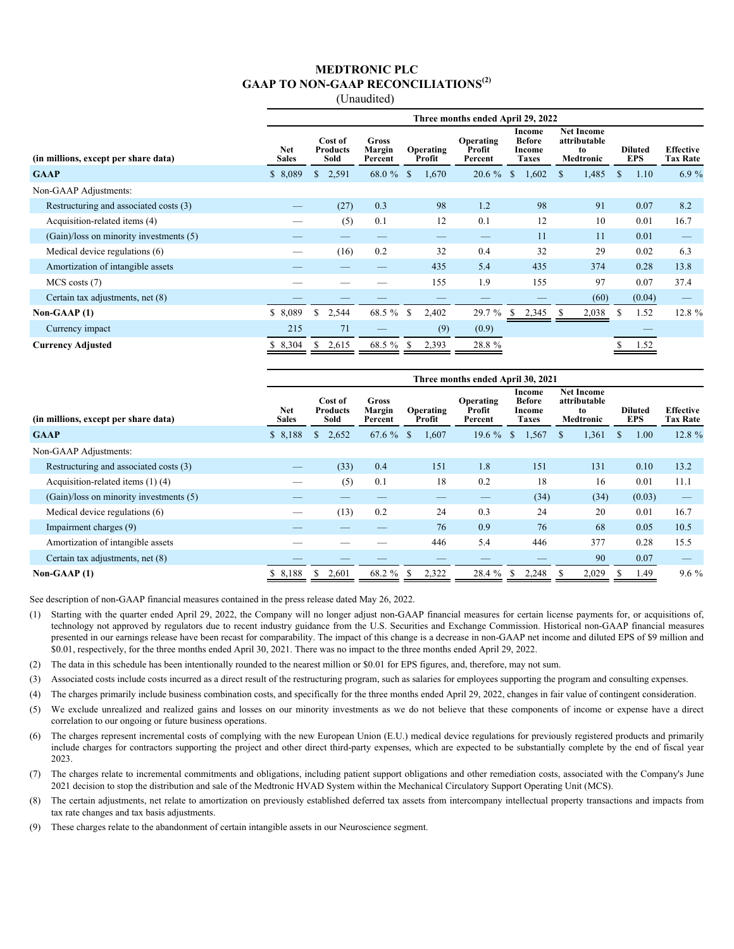#### **MEDTRONIC PLC GAAP TO NON-GAAP RECONCILIATIONS(2)**

(Unaudited)

|                                         | Three months ended April 29, 2022 |                                    |                                   |                     |                                |                                                   |                                                      |                              |                                     |  |  |  |
|-----------------------------------------|-----------------------------------|------------------------------------|-----------------------------------|---------------------|--------------------------------|---------------------------------------------------|------------------------------------------------------|------------------------------|-------------------------------------|--|--|--|
| (in millions, except per share data)    | <b>Net</b><br><b>Sales</b>        | Cost of<br><b>Products</b><br>Sold | <b>Gross</b><br>Margin<br>Percent | Operating<br>Profit | Operating<br>Profit<br>Percent | Income<br><b>Before</b><br>Income<br><b>Taxes</b> | <b>Net Income</b><br>attributable<br>to<br>Medtronic | <b>Diluted</b><br><b>EPS</b> | <b>Effective</b><br><b>Tax Rate</b> |  |  |  |
| <b>GAAP</b>                             | \$8,089                           | 2,591<br>$\mathbb{S}$              | $68.0 \%$ \$                      | 1,670               | 20.6 %                         | 1,602<br><sup>\$</sup>                            | 1,485<br>-S                                          | 1.10<br>\$                   | 6.9%                                |  |  |  |
| Non-GAAP Adjustments:                   |                                   |                                    |                                   |                     |                                |                                                   |                                                      |                              |                                     |  |  |  |
| Restructuring and associated costs (3)  |                                   | (27)                               | 0.3                               | 98                  | 1.2                            | 98                                                | 91                                                   | 0.07                         | 8.2                                 |  |  |  |
| Acquisition-related items (4)           |                                   | (5)                                | 0.1                               | 12                  | 0.1                            | 12                                                | 10                                                   | 0.01                         | 16.7                                |  |  |  |
| (Gain)/loss on minority investments (5) |                                   |                                    |                                   |                     |                                | 11                                                | 11                                                   | 0.01                         |                                     |  |  |  |
| Medical device regulations (6)          |                                   | (16)                               | 0.2                               | 32                  | 0.4                            | 32                                                | 29                                                   | 0.02                         | 6.3                                 |  |  |  |
| Amortization of intangible assets       |                                   |                                    |                                   | 435                 | 5.4                            | 435                                               | 374                                                  | 0.28                         | 13.8                                |  |  |  |
| $MCS$ costs $(7)$                       |                                   |                                    |                                   | 155                 | 1.9                            | 155                                               | 97                                                   | 0.07                         | 37.4                                |  |  |  |
| Certain tax adjustments, net (8)        |                                   |                                    |                                   |                     |                                |                                                   | (60)                                                 | (0.04)                       |                                     |  |  |  |
| Non-GAAP $(1)$                          | \$8,089                           | S.<br>2,544                        | 68.5 % \$                         | 2,402               | 29.7 %                         | 2,345<br><sup>S</sup>                             | 2,038<br>ъ                                           | 1.52<br>S                    | 12.8 %                              |  |  |  |
| Currency impact                         | 215                               | 71                                 |                                   | (9)                 | (0.9)                          |                                                   |                                                      |                              |                                     |  |  |  |
| <b>Currency Adjusted</b>                | 8,304                             | 2,615<br>S                         | 68.5 %                            | 2,393<br>-S         | 28.8 %                         |                                                   |                                                      | 1.52                         |                                     |  |  |  |

|                                             | Three months ended April 30, 2021 |                                           |        |                                                          |          |                                                   |                                                             |                              |                                     |  |  |  |
|---------------------------------------------|-----------------------------------|-------------------------------------------|--------|----------------------------------------------------------|----------|---------------------------------------------------|-------------------------------------------------------------|------------------------------|-------------------------------------|--|--|--|
| (in millions, except per share data)        | <b>Net</b><br><b>Sales</b>        | Cost of<br><b>Products</b><br><b>Sold</b> |        | <b>Gross</b><br>Margin<br>Operating<br>Profit<br>Percent |          | Income<br><b>Before</b><br>Income<br><b>Taxes</b> | <b>Net Income</b><br>attributable<br>to<br><b>Medtronic</b> | <b>Diluted</b><br><b>EPS</b> | <b>Effective</b><br><b>Tax Rate</b> |  |  |  |
| <b>GAAP</b>                                 | \$8,188                           | 2,652<br>S.                               | 67.6 % | 1,607<br>S                                               | 19.6 $%$ | \$<br>1,567                                       | 1,361<br>S.                                                 | \$<br>1.00                   | 12.8 %                              |  |  |  |
| Non-GAAP Adjustments:                       |                                   |                                           |        |                                                          |          |                                                   |                                                             |                              |                                     |  |  |  |
| Restructuring and associated costs (3)      |                                   | (33)                                      | 0.4    | 151                                                      | 1.8      | 151                                               | 131                                                         | 0.10                         | 13.2                                |  |  |  |
| Acquisition-related items $(1)$ (4)         |                                   | (5)                                       | 0.1    | 18                                                       | 0.2      | 18                                                | 16                                                          | 0.01                         | 11.1                                |  |  |  |
| $(Gain)/loss$ on minority investments $(5)$ |                                   |                                           |        |                                                          | –        | (34)                                              | (34)                                                        | (0.03)                       |                                     |  |  |  |
| Medical device regulations (6)              |                                   | (13)                                      | 0.2    | 24                                                       | 0.3      | 24                                                | 20                                                          | 0.01                         | 16.7                                |  |  |  |
| Impairment charges (9)                      |                                   |                                           |        | 76                                                       | 0.9      | 76                                                | 68                                                          | 0.05                         | 10.5                                |  |  |  |
| Amortization of intangible assets           |                                   |                                           |        | 446                                                      | 5.4      | 446                                               | 377                                                         | 0.28                         | 15.5                                |  |  |  |
| Certain tax adjustments, net (8)            |                                   |                                           |        |                                                          |          |                                                   | 90                                                          | 0.07                         |                                     |  |  |  |
| Non-GAAP $(1)$                              | 8.188                             | 2,601                                     | 68.2 % | 2,322                                                    | 28.4 %   | 2,248<br>-S                                       | 2,029                                                       | 1.49                         | $9.6\%$                             |  |  |  |

See description of non-GAAP financial measures contained in the press release dated May 26, 2022.

- (1) Starting with the quarter ended April 29, 2022, the Company will no longer adjust non-GAAP financial measures for certain license payments for, or acquisitions of, technology not approved by regulators due to recent industry guidance from the U.S. Securities and Exchange Commission. Historical non-GAAP financial measures presented in our earnings release have been recast for comparability. The impact of this change is a decrease in non-GAAP net income and diluted EPS of \$9 million and \$0.01, respectively, for the three months ended April 30, 2021. There was no impact to the three months ended April 29, 2022.
- (2) The data in this schedule has been intentionally rounded to the nearest million or \$0.01 for EPS figures, and, therefore, may not sum.
- (3) Associated costs include costs incurred as a direct result of the restructuring program, such as salaries for employees supporting the program and consulting expenses.
- (4) The charges primarily include business combination costs, and specifically for the three months ended April 29, 2022, changes in fair value of contingent consideration.
- (5) We exclude unrealized and realized gains and losses on our minority investments as we do not believe that these components of income or expense have a direct correlation to our ongoing or future business operations.
- (6) The charges represent incremental costs of complying with the new European Union (E.U.) medical device regulations for previously registered products and primarily include charges for contractors supporting the project and other direct third-party expenses, which are expected to be substantially complete by the end of fiscal year 2023.
- (7) The charges relate to incremental commitments and obligations, including patient support obligations and other remediation costs, associated with the Company's June 2021 decision to stop the distribution and sale of the Medtronic HVAD System within the Mechanical Circulatory Support Operating Unit (MCS).
- (8) The certain adjustments, net relate to amortization on previously established deferred tax assets from intercompany intellectual property transactions and impacts from tax rate changes and tax basis adjustments.
- (9) These charges relate to the abandonment of certain intangible assets in our Neuroscience segment.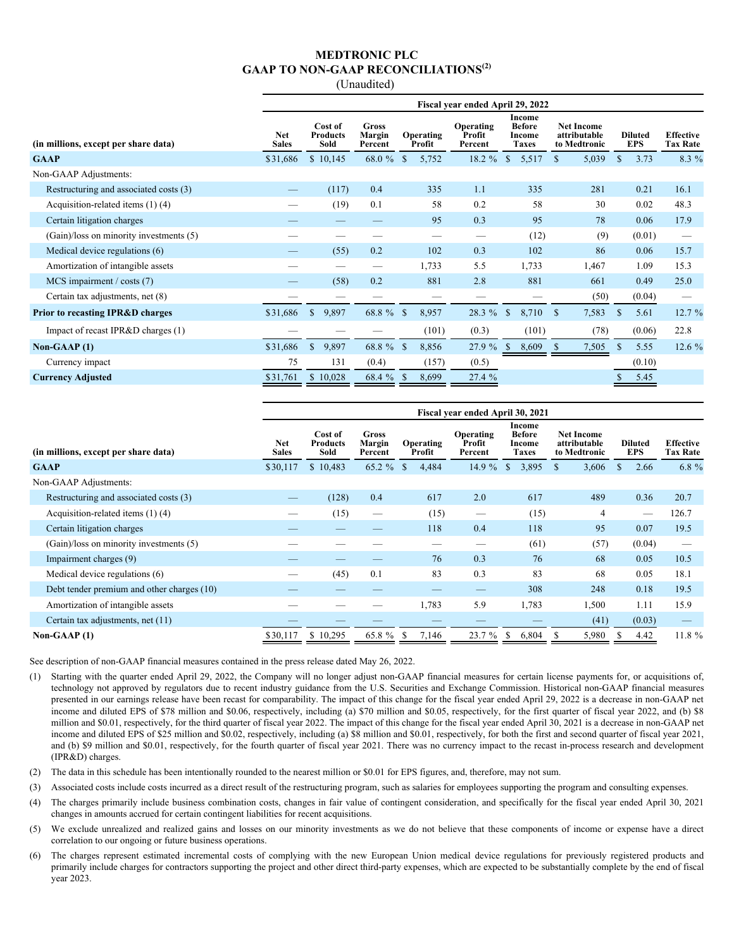### **MEDTRONIC PLC GAAP TO NON-GAAP RECONCILIATIONS(2)**

(Unaudited)

|                                             | Fiscal year ended April 29, 2022 |                                    |                            |                       |                                |                                                   |                                                   |                              |                                     |  |  |  |
|---------------------------------------------|----------------------------------|------------------------------------|----------------------------|-----------------------|--------------------------------|---------------------------------------------------|---------------------------------------------------|------------------------------|-------------------------------------|--|--|--|
| (in millions, except per share data)        | <b>Net</b><br><b>Sales</b>       | Cost of<br><b>Products</b><br>Sold | Gross<br>Margin<br>Percent | Operating<br>Profit   | Operating<br>Profit<br>Percent | Income<br><b>Before</b><br>Income<br><b>Taxes</b> | <b>Net Income</b><br>attributable<br>to Medtronic | <b>Diluted</b><br><b>EPS</b> | <b>Effective</b><br><b>Tax Rate</b> |  |  |  |
| <b>GAAP</b>                                 | \$31,686                         | \$10,145                           | 68.0 %                     | $\mathbb{S}$<br>5,752 | 18.2 %                         | $\mathbb{S}$<br>5,517                             | 5,039<br><sup>\$</sup>                            | $\mathbf S$<br>3.73          | 8.3 %                               |  |  |  |
| Non-GAAP Adjustments:                       |                                  |                                    |                            |                       |                                |                                                   |                                                   |                              |                                     |  |  |  |
| Restructuring and associated costs (3)      |                                  | (117)                              | 0.4                        | 335                   | 1.1                            | 335                                               | 281                                               | 0.21                         | 16.1                                |  |  |  |
| Acquisition-related items $(1)$ $(4)$       |                                  | (19)                               | 0.1                        | 58                    | 0.2                            | 58                                                | 30                                                | 0.02                         | 48.3                                |  |  |  |
| Certain litigation charges                  |                                  |                                    |                            | 95                    | 0.3                            | 95                                                | 78                                                | 0.06                         | 17.9                                |  |  |  |
| (Gain)/loss on minority investments (5)     |                                  |                                    |                            |                       |                                | (12)                                              | (9)                                               | (0.01)                       |                                     |  |  |  |
| Medical device regulations (6)              | —                                | (55)                               | 0.2                        | 102                   | 0.3                            | 102                                               | 86                                                | 0.06                         | 15.7                                |  |  |  |
| Amortization of intangible assets           |                                  | --                                 |                            | 1,733                 | 5.5                            | 1,733                                             | 1,467                                             | 1.09                         | 15.3                                |  |  |  |
| $MCS$ impairment / costs (7)                |                                  | (58)                               | 0.2                        | 881                   | 2.8                            | 881                                               | 661                                               | 0.49                         | 25.0                                |  |  |  |
| Certain tax adjustments, net (8)            |                                  |                                    |                            |                       |                                |                                                   | (50)                                              | (0.04)                       |                                     |  |  |  |
| <b>Prior to recasting IPR&amp;D charges</b> | \$31,686                         | $\mathbb{S}$<br>9,897              | 68.8 % \$                  | 8,957                 | 28.3 %                         | <sup>S</sup><br>8,710                             | 7,583<br>\$                                       | S<br>5.61                    | 12.7 %                              |  |  |  |
| Impact of recast IPR&D charges (1)          |                                  |                                    |                            | (101)                 | (0.3)                          | (101)                                             | (78)                                              | (0.06)                       | 22.8                                |  |  |  |
| Non-GAAP $(1)$                              | \$31,686                         | $\mathbf{s}$<br>9,897              | 68.8 %                     | <b>S</b><br>8,856     | 27.9 %                         | $\mathbb{S}$<br>8,609                             | 7,505<br><sup>\$</sup>                            | $\mathcal{S}$<br>5.55        | 12.6%                               |  |  |  |
| Currency impact                             | 75                               | 131                                | (0.4)                      | (157)                 | (0.5)                          |                                                   |                                                   | (0.10)                       |                                     |  |  |  |
| <b>Currency Adjusted</b>                    | \$31,761                         | \$10,028                           | 68.4 %                     | 8,699<br>-S           | 27.4 %                         |                                                   |                                                   | 5.45                         |                                     |  |  |  |

|                                            | Fiscal year ended April 30, 2021 |                                    |                                   |                     |                                |                                            |                                                   |                              |                                     |  |  |  |
|--------------------------------------------|----------------------------------|------------------------------------|-----------------------------------|---------------------|--------------------------------|--------------------------------------------|---------------------------------------------------|------------------------------|-------------------------------------|--|--|--|
| (in millions, except per share data)       | <b>Net</b><br><b>Sales</b>       | Cost of<br><b>Products</b><br>Sold | <b>Gross</b><br>Margin<br>Percent | Operating<br>Profit | Operating<br>Profit<br>Percent | Income<br><b>Before</b><br>Income<br>Taxes | <b>Net Income</b><br>attributable<br>to Medtronic | <b>Diluted</b><br><b>EPS</b> | <b>Effective</b><br><b>Tax Rate</b> |  |  |  |
| <b>GAAP</b>                                | \$30,117                         | \$10,483                           | $65.2 \%$ \$                      | 4,484               | 14.9%                          | 3,895<br><sup>S</sup>                      | 3,606<br><sup>\$</sup>                            | 2.66<br>S.                   | 6.8 $%$                             |  |  |  |
| Non-GAAP Adjustments:                      |                                  |                                    |                                   |                     |                                |                                            |                                                   |                              |                                     |  |  |  |
| Restructuring and associated costs (3)     | —                                | (128)                              | 0.4                               | 617                 | 2.0                            | 617                                        | 489                                               | 0.36                         | 20.7                                |  |  |  |
| Acquisition-related items $(1)$ (4)        |                                  | (15)                               |                                   | (15)                |                                | (15)                                       | 4                                                 |                              | 126.7                               |  |  |  |
| Certain litigation charges                 |                                  |                                    |                                   | 118                 | 0.4                            | 118                                        | 95                                                | 0.07                         | 19.5                                |  |  |  |
| (Gain)/loss on minority investments (5)    |                                  |                                    |                                   |                     |                                | (61)                                       | (57)                                              | (0.04)                       |                                     |  |  |  |
| Impairment charges (9)                     |                                  |                                    |                                   | 76                  | 0.3                            | 76                                         | 68                                                | 0.05                         | 10.5                                |  |  |  |
| Medical device regulations (6)             |                                  | (45)                               | 0.1                               | 83                  | 0.3                            | 83                                         | 68                                                | 0.05                         | 18.1                                |  |  |  |
| Debt tender premium and other charges (10) |                                  |                                    |                                   |                     |                                | 308                                        | 248                                               | 0.18                         | 19.5                                |  |  |  |
| Amortization of intangible assets          |                                  |                                    |                                   | 1,783               | 5.9                            | 1,783                                      | 1,500                                             | 1.11                         | 15.9                                |  |  |  |
| Certain tax adjustments, net (11)          |                                  |                                    |                                   |                     |                                |                                            | (41)                                              | (0.03)                       |                                     |  |  |  |
| Non-GAAP $(1)$                             | \$30,117                         | \$10,295                           | 65.8 %                            | 7,146<br>S.         | 23.7 %                         | 6,804<br>S                                 | 5,980                                             | 4.42                         | 11.8 %                              |  |  |  |

See description of non-GAAP financial measures contained in the press release dated May 26, 2022.

- (1) Starting with the quarter ended April 29, 2022, the Company will no longer adjust non-GAAP financial measures for certain license payments for, or acquisitions of, technology not approved by regulators due to recent industry guidance from the U.S. Securities and Exchange Commission. Historical non-GAAP financial measures presented in our earnings release have been recast for comparability. The impact of this change for the fiscal year ended April 29, 2022 is a decrease in non-GAAP net income and diluted EPS of \$78 million and \$0.06, respectively, including (a) \$70 million and \$0.05, respectively, for the first quarter of fiscal year 2022, and (b) \$8 million and \$0.01, respectively, for the third quarter of fiscal year 2022. The impact of this change for the fiscal year ended April 30, 2021 is a decrease in non-GAAP net income and diluted EPS of \$25 million and \$0.02, respectively, including (a) \$8 million and \$0.01, respectively, for both the first and second quarter of fiscal year 2021, and (b) \$9 million and \$0.01, respectively, for the fourth quarter of fiscal year 2021. There was no currency impact to the recast in-process research and development (IPR&D) charges.
- (2) The data in this schedule has been intentionally rounded to the nearest million or \$0.01 for EPS figures, and, therefore, may not sum.
- (3) Associated costs include costs incurred as a direct result of the restructuring program, such as salaries for employees supporting the program and consulting expenses.
- (4) The charges primarily include business combination costs, changes in fair value of contingent consideration, and specifically for the fiscal year ended April 30, 2021 changes in amounts accrued for certain contingent liabilities for recent acquisitions.
- (5) We exclude unrealized and realized gains and losses on our minority investments as we do not believe that these components of income or expense have a direct correlation to our ongoing or future business operations.
- (6) The charges represent estimated incremental costs of complying with the new European Union medical device regulations for previously registered products and primarily include charges for contractors supporting the project and other direct third-party expenses, which are expected to be substantially complete by the end of fiscal year 2023.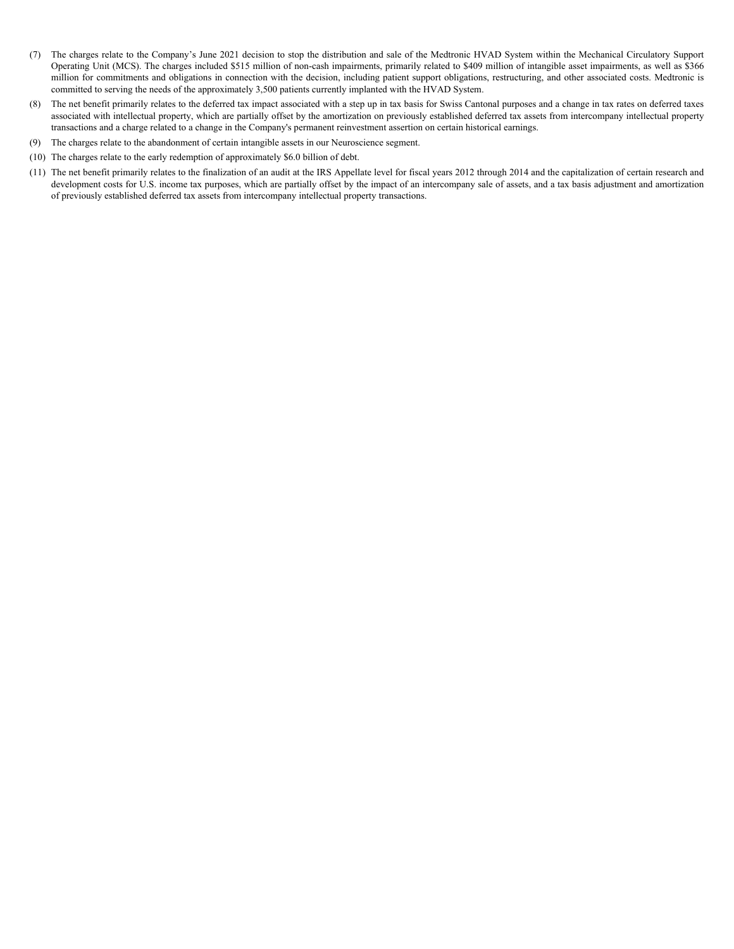- (7) The charges relate to the Company's June 2021 decision to stop the distribution and sale of the Medtronic HVAD System within the Mechanical Circulatory Support Operating Unit (MCS). The charges included \$515 million of non-cash impairments, primarily related to \$409 million of intangible asset impairments, as well as \$366 million for commitments and obligations in connection with the decision, including patient support obligations, restructuring, and other associated costs. Medtronic is committed to serving the needs of the approximately 3,500 patients currently implanted with the HVAD System.
- (8) The net benefit primarily relates to the deferred tax impact associated with a step up in tax basis for Swiss Cantonal purposes and a change in tax rates on deferred taxes associated with intellectual property, which are partially offset by the amortization on previously established deferred tax assets from intercompany intellectual property transactions and a charge related to a change in the Company's permanent reinvestment assertion on certain historical earnings.
- (9) The charges relate to the abandonment of certain intangible assets in our Neuroscience segment.
- (10) The charges relate to the early redemption of approximately \$6.0 billion of debt.
- (11) The net benefit primarily relates to the finalization of an audit at the IRS Appellate level for fiscal years 2012 through 2014 and the capitalization of certain research and development costs for U.S. income tax purposes, which are partially offset by the impact of an intercompany sale of assets, and a tax basis adjustment and amortization of previously established deferred tax assets from intercompany intellectual property transactions.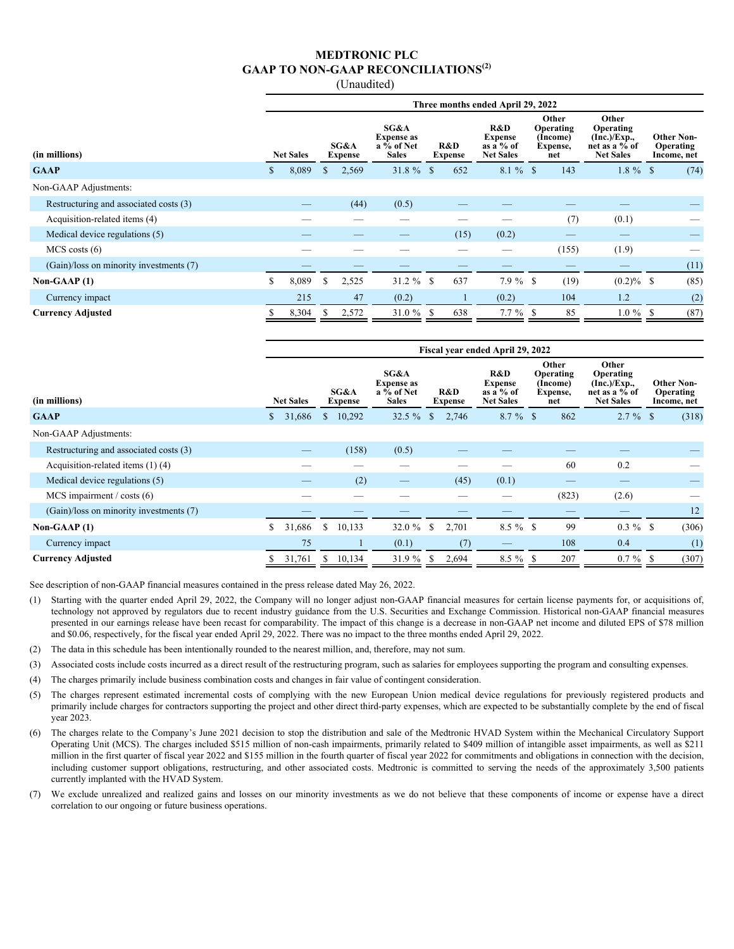### **MEDTRONIC PLC GAAP TO NON-GAAP RECONCILIATIONS(2)**

(Unaudited)

|                                         | Three months ended April 29, 2022 |       |                        |       |                                                         |          |                       |                                                          |                                                          |       |                                                                        |  |                                               |
|-----------------------------------------|-----------------------------------|-------|------------------------|-------|---------------------------------------------------------|----------|-----------------------|----------------------------------------------------------|----------------------------------------------------------|-------|------------------------------------------------------------------------|--|-----------------------------------------------|
| (in millions)                           | <b>Net Sales</b>                  |       | SG&A<br><b>Expense</b> |       | SG&A<br><b>Expense as</b><br>a % of Net<br><b>Sales</b> |          | R&D<br><b>Expense</b> | R&D<br><b>Expense</b><br>as a $%$ of<br><b>Net Sales</b> | <b>Other</b><br>Operating<br>(Income)<br>Expense,<br>net |       | Other<br>Operating<br>(Inc.)/Exp.<br>net as a % of<br><b>Net Sales</b> |  | <b>Other Non-</b><br>Operating<br>Income, net |
| <b>GAAP</b>                             | <sup>S</sup>                      | 8,089 | S                      | 2,569 | $31.8 \%$ \$                                            |          | 652                   | $8.1 \%$ \$                                              |                                                          | 143   | $1.8 \%$ \$                                                            |  | (74)                                          |
| Non-GAAP Adjustments:                   |                                   |       |                        |       |                                                         |          |                       |                                                          |                                                          |       |                                                                        |  |                                               |
| Restructuring and associated costs (3)  |                                   |       |                        | (44)  | (0.5)                                                   |          |                       |                                                          |                                                          |       |                                                                        |  |                                               |
| Acquisition-related items (4)           |                                   |       |                        |       |                                                         |          |                       |                                                          |                                                          | (7)   | (0.1)                                                                  |  |                                               |
| Medical device regulations (5)          |                                   |       |                        |       |                                                         |          | (15)                  | (0.2)                                                    |                                                          |       |                                                                        |  |                                               |
| $MCS \, \text{costs} \, (6)$            |                                   |       |                        |       |                                                         |          |                       |                                                          |                                                          | (155) | (1.9)                                                                  |  |                                               |
| (Gain)/loss on minority investments (7) |                                   |       |                        |       |                                                         |          |                       |                                                          |                                                          |       |                                                                        |  | (11)                                          |
| Non-GAAP $(1)$                          | \$                                | 8,089 |                        | 2,525 | $31.2 \%$                                               | <b>S</b> | 637                   | $7.9\%$ \$                                               |                                                          | (19)  | $(0.2)\%$ \$                                                           |  | (85)                                          |
| Currency impact                         |                                   | 215   |                        | 47    | (0.2)                                                   |          |                       | (0.2)                                                    |                                                          | 104   | 1.2                                                                    |  | (2)                                           |
| <b>Currency Adjusted</b>                |                                   | 8,304 | S                      | 2,572 | 31.0%                                                   | S        | 638                   | $7.7 \%$ \$                                              |                                                          | 85    | $1.0 \%$ \$                                                            |  | (87)                                          |

|                                         | Fiscal year ended April 29, 2022 |                  |               |                        |                                                                  |               |                       |                                                          |  |                                                          |                                                                        |  |                                               |
|-----------------------------------------|----------------------------------|------------------|---------------|------------------------|------------------------------------------------------------------|---------------|-----------------------|----------------------------------------------------------|--|----------------------------------------------------------|------------------------------------------------------------------------|--|-----------------------------------------------|
| (in millions)                           |                                  | <b>Net Sales</b> |               | SG&A<br><b>Expense</b> | SG&A<br><b>Expense as</b><br>$a\bar{v}_0$ of Net<br><b>Sales</b> |               | R&D<br><b>Expense</b> | R&D<br><b>Expense</b><br>as a $%$ of<br><b>Net Sales</b> |  | Other<br><b>Operating</b><br>(Income)<br>Expense,<br>net | Other<br>Operating<br>(Inc.)/Exp.<br>net as a % of<br><b>Net Sales</b> |  | <b>Other Non-</b><br>Operating<br>Income, net |
| <b>GAAP</b>                             | S.                               | 31,686           | <sup>S</sup>  | 10,292                 | $32.5 \%$                                                        | \$            | 2,746                 | $8.7 \%$ \$                                              |  | 862                                                      | $2.7 \%$ \$                                                            |  | (318)                                         |
| Non-GAAP Adjustments:                   |                                  |                  |               |                        |                                                                  |               |                       |                                                          |  |                                                          |                                                                        |  |                                               |
| Restructuring and associated costs (3)  |                                  |                  |               | (158)                  | (0.5)                                                            |               |                       |                                                          |  |                                                          |                                                                        |  |                                               |
| Acquisition-related items $(1)$ (4)     |                                  |                  |               |                        |                                                                  |               |                       |                                                          |  | 60                                                       | 0.2                                                                    |  |                                               |
| Medical device regulations (5)          |                                  |                  |               | (2)                    |                                                                  |               | (45)                  | (0.1)                                                    |  |                                                          |                                                                        |  |                                               |
| $MCS$ impairment / costs (6)            |                                  |                  |               |                        |                                                                  |               |                       |                                                          |  | (823)                                                    | (2.6)                                                                  |  |                                               |
| (Gain)/loss on minority investments (7) |                                  |                  |               |                        |                                                                  |               |                       |                                                          |  |                                                          |                                                                        |  | 12                                            |
| Non-GAAP $(1)$                          | S.                               | 31,686           | <sup>\$</sup> | 10,133                 | 32.0 $%$                                                         | <sup>\$</sup> | 2,701                 | $8.5 \%$ \$                                              |  | 99                                                       | $0.3 \%$ \$                                                            |  | (306)                                         |
| Currency impact                         |                                  | 75               |               |                        | (0.1)                                                            |               | (7)                   |                                                          |  | 108                                                      | 0.4                                                                    |  | (1)                                           |
| <b>Currency Adjusted</b>                |                                  | 31,761           | S.            | 10,134                 | 31.9 %                                                           | -S            | 2,694                 | $8.5 \%$ \$                                              |  | 207                                                      | $0.7 \%$ \$                                                            |  | (307)                                         |

See description of non-GAAP financial measures contained in the press release dated May 26, 2022.

- (1) Starting with the quarter ended April 29, 2022, the Company will no longer adjust non-GAAP financial measures for certain license payments for, or acquisitions of, technology not approved by regulators due to recent industry guidance from the U.S. Securities and Exchange Commission. Historical non-GAAP financial measures presented in our earnings release have been recast for comparability. The impact of this change is a decrease in non-GAAP net income and diluted EPS of \$78 million and \$0.06, respectively, for the fiscal year ended April 29, 2022. There was no impact to the three months ended April 29, 2022.
- (2) The data in this schedule has been intentionally rounded to the nearest million, and, therefore, may not sum.
- (3) Associated costs include costs incurred as a direct result of the restructuring program, such as salaries for employees supporting the program and consulting expenses.
- (4) The charges primarily include business combination costs and changes in fair value of contingent consideration.
- (5) The charges represent estimated incremental costs of complying with the new European Union medical device regulations for previously registered products and primarily include charges for contractors supporting the project and other direct third-party expenses, which are expected to be substantially complete by the end of fiscal year 2023.
- (6) The charges relate to the Company's June 2021 decision to stop the distribution and sale of the Medtronic HVAD System within the Mechanical Circulatory Support Operating Unit (MCS). The charges included \$515 million of non-cash impairments, primarily related to \$409 million of intangible asset impairments, as well as \$211 million in the first quarter of fiscal year 2022 and \$155 million in the fourth quarter of fiscal year 2022 for commitments and obligations in connection with the decision, including customer support obligations, restructuring, and other associated costs. Medtronic is committed to serving the needs of the approximately 3,500 patients currently implanted with the HVAD System.
- (7) We exclude unrealized and realized gains and losses on our minority investments as we do not believe that these components of income or expense have a direct correlation to our ongoing or future business operations.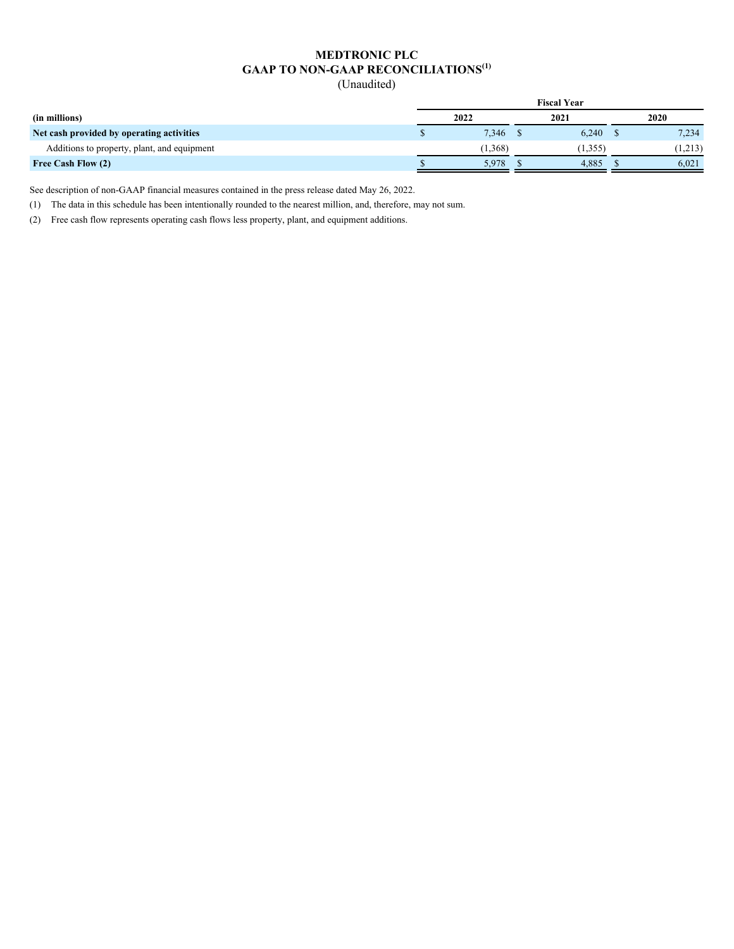# **MEDTRONIC PLC GAAP TO NON-GAAP RECONCILIATIONS(1)**

(Unaudited)

|                                             | <b>Fiscal Year</b> |         |  |          |  |             |  |  |  |  |
|---------------------------------------------|--------------------|---------|--|----------|--|-------------|--|--|--|--|
| (in millions)                               | 2022               |         |  | 2021     |  | <b>2020</b> |  |  |  |  |
| Net cash provided by operating activities   |                    | 7,346   |  | 6,240    |  | 7,234       |  |  |  |  |
| Additions to property, plant, and equipment |                    | (1,368) |  | (1, 355) |  | (1,213)     |  |  |  |  |
| Free Cash Flow (2)                          |                    | 5.978   |  | 4.885    |  | 6.021       |  |  |  |  |

See description of non-GAAP financial measures contained in the press release dated May 26, 2022.

(1) The data in this schedule has been intentionally rounded to the nearest million, and, therefore, may not sum.

(2) Free cash flow represents operating cash flows less property, plant, and equipment additions.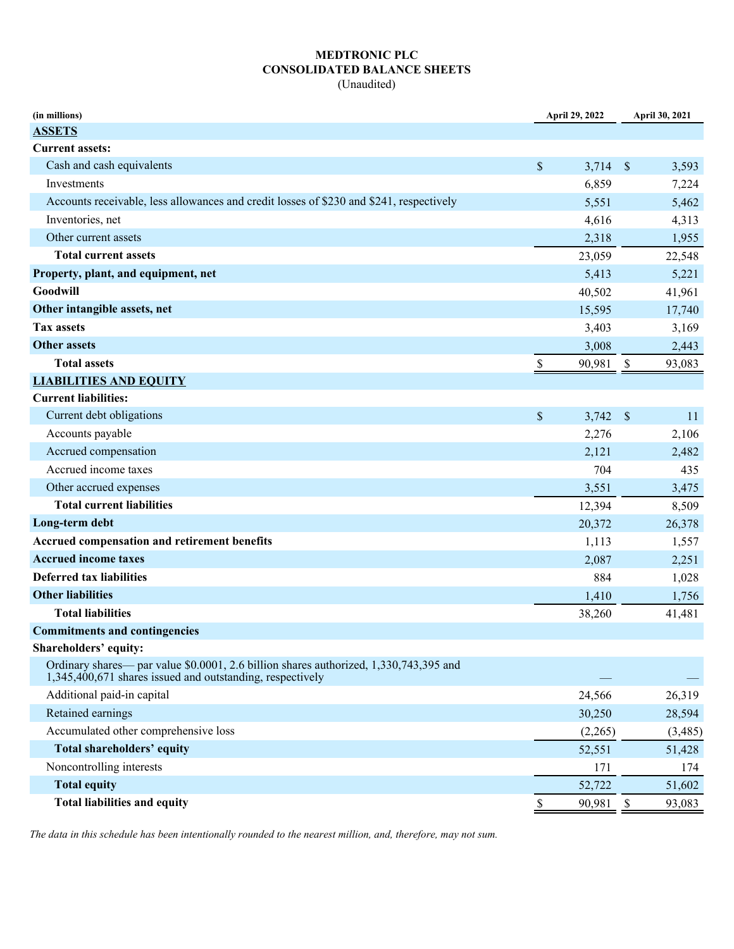## **MEDTRONIC PLC CONSOLIDATED BALANCE SHEETS**

(Unaudited)

| (in millions)                                                                                                                                      |                           | April 29, 2022 |                           | April 30, 2021 |
|----------------------------------------------------------------------------------------------------------------------------------------------------|---------------------------|----------------|---------------------------|----------------|
| <b>ASSETS</b>                                                                                                                                      |                           |                |                           |                |
| <b>Current assets:</b>                                                                                                                             |                           |                |                           |                |
| Cash and cash equivalents                                                                                                                          | $\boldsymbol{\mathsf{S}}$ | 3,714          | $\mathcal{S}$             | 3,593          |
| Investments                                                                                                                                        |                           | 6,859          |                           | 7,224          |
| Accounts receivable, less allowances and credit losses of \$230 and \$241, respectively                                                            |                           | 5,551          |                           | 5,462          |
| Inventories, net                                                                                                                                   |                           | 4,616          |                           | 4,313          |
| Other current assets                                                                                                                               |                           | 2,318          |                           | 1,955          |
| <b>Total current assets</b>                                                                                                                        |                           | 23,059         |                           | 22,548         |
| Property, plant, and equipment, net                                                                                                                |                           | 5,413          |                           | 5,221          |
| Goodwill                                                                                                                                           |                           | 40,502         |                           | 41,961         |
| Other intangible assets, net                                                                                                                       |                           | 15,595         |                           | 17,740         |
| <b>Tax assets</b>                                                                                                                                  |                           | 3,403          |                           | 3,169          |
| <b>Other assets</b>                                                                                                                                |                           | 3,008          |                           | 2,443          |
| <b>Total assets</b>                                                                                                                                | \$                        | 90,981         | \$                        | 93,083         |
| <b>LIABILITIES AND EQUITY</b>                                                                                                                      |                           |                |                           |                |
| <b>Current liabilities:</b>                                                                                                                        |                           |                |                           |                |
| Current debt obligations                                                                                                                           | $\mathcal{S}$             | 3,742          | $\mathcal{S}$             | 11             |
| Accounts payable                                                                                                                                   |                           | 2,276          |                           | 2,106          |
| Accrued compensation                                                                                                                               |                           | 2,121          |                           | 2,482          |
| Accrued income taxes                                                                                                                               |                           | 704            |                           | 435            |
| Other accrued expenses                                                                                                                             |                           | 3,551          |                           | 3,475          |
| <b>Total current liabilities</b>                                                                                                                   |                           | 12,394         |                           | 8,509          |
| Long-term debt                                                                                                                                     |                           | 20,372         |                           | 26,378         |
| Accrued compensation and retirement benefits                                                                                                       |                           | 1,113          |                           | 1,557          |
| <b>Accrued income taxes</b>                                                                                                                        |                           | 2,087          |                           | 2,251          |
| <b>Deferred tax liabilities</b>                                                                                                                    |                           | 884            |                           | 1,028          |
| <b>Other liabilities</b>                                                                                                                           |                           | 1,410          |                           | 1,756          |
| <b>Total liabilities</b>                                                                                                                           |                           | 38,260         |                           | 41,481         |
| <b>Commitments and contingencies</b>                                                                                                               |                           |                |                           |                |
| Shareholders' equity:                                                                                                                              |                           |                |                           |                |
| Ordinary shares— par value \$0.0001, 2.6 billion shares authorized, 1,330,743,395 and<br>1,345,400,671 shares issued and outstanding, respectively |                           |                |                           |                |
| Additional paid-in capital                                                                                                                         |                           | 24,566         |                           | 26,319         |
| Retained earnings                                                                                                                                  |                           | 30,250         |                           | 28,594         |
| Accumulated other comprehensive loss                                                                                                               |                           | (2,265)        |                           | (3,485)        |
| Total shareholders' equity                                                                                                                         |                           | 52,551         |                           | 51,428         |
| Noncontrolling interests                                                                                                                           |                           | 171            |                           | 174            |
| <b>Total equity</b>                                                                                                                                |                           | 52,722         |                           | 51,602         |
| <b>Total liabilities and equity</b>                                                                                                                | \$                        | 90,981         | $\boldsymbol{\mathsf{S}}$ | 93,083         |

*The data in this schedule has been intentionally rounded to the nearest million, and, therefore, may not sum.*